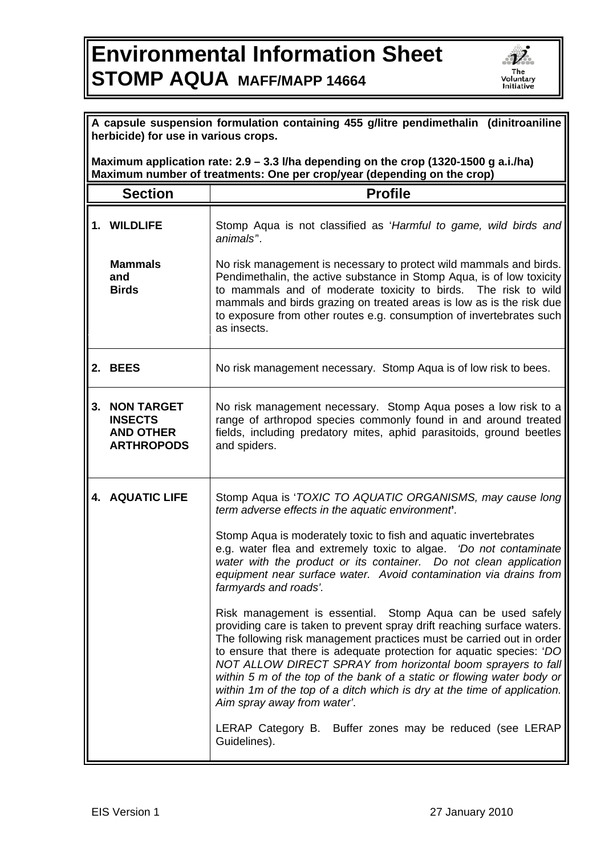## **Environmental Information Sheet STOMP AQUA MAFF/MAPP 14664**



| A capsule suspension formulation containing 455 g/litre pendimethalin (dinitroaniline)<br>herbicide) for use in various crops.                                  |                                                                              |                                                                                                                                                                                                                                                                                                                                                                                                                                                                                                                                                                                                                                                                                                                                                                                                                                                                                                                                                                                                                                                      |  |
|-----------------------------------------------------------------------------------------------------------------------------------------------------------------|------------------------------------------------------------------------------|------------------------------------------------------------------------------------------------------------------------------------------------------------------------------------------------------------------------------------------------------------------------------------------------------------------------------------------------------------------------------------------------------------------------------------------------------------------------------------------------------------------------------------------------------------------------------------------------------------------------------------------------------------------------------------------------------------------------------------------------------------------------------------------------------------------------------------------------------------------------------------------------------------------------------------------------------------------------------------------------------------------------------------------------------|--|
| Maximum application rate: 2.9 - 3.3 I/ha depending on the crop (1320-1500 g a.i./ha)<br>Maximum number of treatments: One per crop/year (depending on the crop) |                                                                              |                                                                                                                                                                                                                                                                                                                                                                                                                                                                                                                                                                                                                                                                                                                                                                                                                                                                                                                                                                                                                                                      |  |
|                                                                                                                                                                 | <b>Section</b>                                                               | <b>Profile</b>                                                                                                                                                                                                                                                                                                                                                                                                                                                                                                                                                                                                                                                                                                                                                                                                                                                                                                                                                                                                                                       |  |
|                                                                                                                                                                 | 1. WILDLIFE                                                                  | Stomp Aqua is not classified as 'Harmful to game, wild birds and<br>animals".                                                                                                                                                                                                                                                                                                                                                                                                                                                                                                                                                                                                                                                                                                                                                                                                                                                                                                                                                                        |  |
|                                                                                                                                                                 | <b>Mammals</b><br>and<br><b>Birds</b>                                        | No risk management is necessary to protect wild mammals and birds.<br>Pendimethalin, the active substance in Stomp Aqua, is of low toxicity<br>to mammals and of moderate toxicity to birds. The risk to wild<br>mammals and birds grazing on treated areas is low as is the risk due<br>to exposure from other routes e.g. consumption of invertebrates such<br>as insects.                                                                                                                                                                                                                                                                                                                                                                                                                                                                                                                                                                                                                                                                         |  |
|                                                                                                                                                                 | 2. BEES                                                                      | No risk management necessary. Stomp Aqua is of low risk to bees.                                                                                                                                                                                                                                                                                                                                                                                                                                                                                                                                                                                                                                                                                                                                                                                                                                                                                                                                                                                     |  |
| 3.                                                                                                                                                              | <b>NON TARGET</b><br><b>INSECTS</b><br><b>AND OTHER</b><br><b>ARTHROPODS</b> | No risk management necessary. Stomp Aqua poses a low risk to a<br>range of arthropod species commonly found in and around treated<br>fields, including predatory mites, aphid parasitoids, ground beetles<br>and spiders.                                                                                                                                                                                                                                                                                                                                                                                                                                                                                                                                                                                                                                                                                                                                                                                                                            |  |
|                                                                                                                                                                 | <b>4. AQUATIC LIFE</b>                                                       | Stomp Aqua is 'TOXIC TO AQUATIC ORGANISMS, may cause long<br>term adverse effects in the aquatic environment.<br>Stomp Aqua is moderately toxic to fish and aquatic invertebrates<br>e.g. water flea and extremely toxic to algae. 'Do not contaminate<br>water with the product or its container. Do not clean application<br>equipment near surface water. Avoid contamination via drains from<br>farmyards and roads'.<br>Risk management is essential. Stomp Aqua can be used safely<br>providing care is taken to prevent spray drift reaching surface waters.<br>The following risk management practices must be carried out in order<br>to ensure that there is adequate protection for aquatic species: 'DO<br>NOT ALLOW DIRECT SPRAY from horizontal boom sprayers to fall<br>within 5 m of the top of the bank of a static or flowing water body or<br>within 1m of the top of a ditch which is dry at the time of application.<br>Aim spray away from water'.<br>LERAP Category B. Buffer zones may be reduced (see LERAP<br>Guidelines). |  |